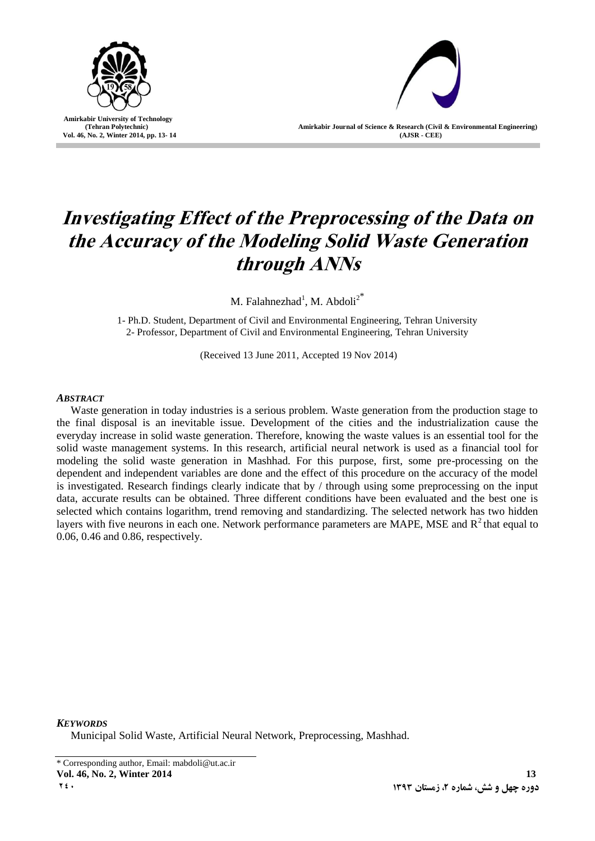

**Amirkabir University of Technology (Tehran Polytechnic) Vol. 46, No. 2, Winter 2014, pp. 13- 14**

**Amirkabir Journal of Science & Research (Civil & Environmental Engineering) (AJSR - CEE)**

# **Investigating Effect of the Preprocessing of the Data on the Accuracy of the Modeling Solid Waste Generation through ANNs**

M. Falahnezhad<sup>1</sup>, M. Abdoli<sup>2\*</sup>

1- Ph.D. Student, Department of Civil and Environmental Engineering, Tehran University 2- Professor, Department of Civil and Environmental Engineering, Tehran University

(Received 13 June 2011, Accepted 19 Nov 2014)

# *ABSTRACT*

Waste generation in today industries is a serious problem. Waste generation from the production stage to the final disposal is an inevitable issue. Development of the cities and the industrialization cause the everyday increase in solid waste generation. Therefore, knowing the waste values is an essential tool for the solid waste management systems. In this research, artificial neural network is used as a financial tool for modeling the solid waste generation in Mashhad. For this purpose, first, some pre-processing on the dependent and independent variables are done and the effect of this procedure on the accuracy of the model is investigated. Research findings clearly indicate that by / through using some preprocessing on the input data, accurate results can be obtained. Three different conditions have been evaluated and the best one is selected which contains logarithm, trend removing and standardizing. The selected network has two hidden layers with five neurons in each one. Network performance parameters are MAPE, MSE and  $R<sup>2</sup>$  that equal to 0.06, 0.46 and 0.86, respectively.

*KEYWORDS*

Municipal Solid Waste, Artificial Neural Network, Preprocessing, Mashhad.

\* Corresponding author, Email: mabdoli@ut.ac.ir